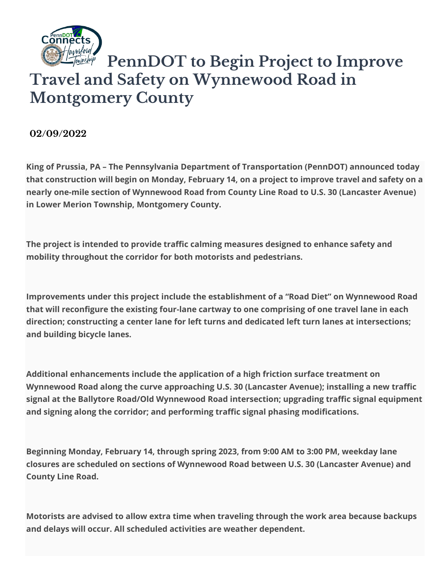

## **PennDOT to Begin Project to Improve Travel and Safety on Wynnewood Road in Montgomery County**

**02/09/2022**

**King of Prussia, PA – The Pennsylvania Department of Transportation (PennDOT) announced today that construction will begin on Monday, February 14, on a project to improve travel and safety on a nearly one-mile section of Wynnewood Road from County Line Road to U.S. 30 (Lancaster Avenue) in Lower Merion Township, Montgomery County.**

**The project is intended to provide traffic calming measures designed to enhance safety and mobility throughout the corridor for both motorists and pedestrians.**

**Improvements under this project include the establishment of a "Road Diet" on Wynnewood Road that will reconfigure the existing four-lane cartway to one comprising of one travel lane in each direction; constructing a center lane for left turns and dedicated left turn lanes at intersections; and building bicycle lanes.**

**Additional enhancements include the application of a high friction surface treatment on Wynnewood Road along the curve approaching U.S. 30 (Lancaster Avenue); installing a new traffic signal at the Ballytore Road/Old Wynnewood Road intersection; upgrading traffic signal equipment and signing along the corridor; and performing traffic signal phasing modifications.**

**Beginning Monday, February 14, through spring 2023, from 9:00 AM to 3:00 PM, weekday lane closures are scheduled on sections of Wynnewood Road between U.S. 30 (Lancaster Avenue) and County Line Road.**

**Motorists are advised to allow extra time when traveling through the work area because backups and delays will occur. All scheduled activities are weather dependent.**